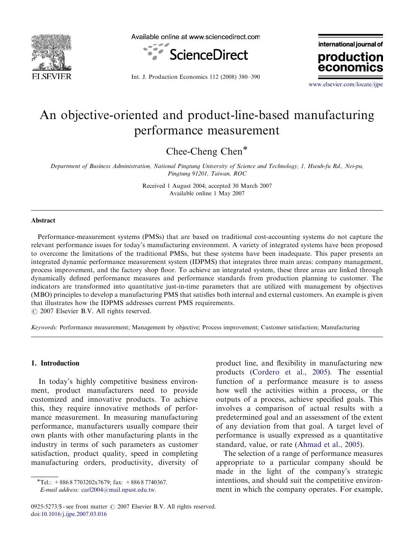

Available online at www.sciencedirect.com



Int. J. Production Economics 112 (2008) 380–390

international journal of production

<www.elsevier.com/locate/ijpe>

econor

## An objective-oriented and product-line-based manufacturing performance measurement

Chee-Cheng Chen\*

Department of Business Administration, National Pingtung University of Science and Technology, 1, Hseuh-fu Rd., Nei-pu, Pingtung 91201, Taiwan, ROC

> Received 1 August 2004; accepted 30 March 2007 Available online 1 May 2007

#### Abstract

Performance-measurement systems (PMSs) that are based on traditional cost-accounting systems do not capture the relevant performance issues for today's manufacturing environment. A variety of integrated systems have been proposed to overcome the limitations of the traditional PMSs, but these systems have been inadequate. This paper presents an integrated dynamic performance measurement system (IDPMS) that integrates three main areas: company management, process improvement, and the factory shop floor. To achieve an integrated system, these three areas are linked through dynamically defined performance measures and performance standards from production planning to customer. The indicators are transformed into quantitative just-in-time parameters that are utilized with management by objectives (MBO) principles to develop a manufacturing PMS that satisfies both internal and external customers. An example is given that illustrates how the IDPMS addresses current PMS requirements.

 $O$  2007 Elsevier B.V. All rights reserved.

Keywords: Performance measurement; Management by objective; Process improvement; Customer satisfaction; Manufacturing

### 1. Introduction

In today's highly competitive business environment, product manufacturers need to provide customized and innovative products. To achieve this, they require innovative methods of performance measurement. In measuring manufacturing performance, manufacturers usually compare their own plants with other manufacturing plants in the industry in terms of such parameters as customer satisfaction, product quality, speed in completing manufacturing orders, productivity, diversity of

product line, and flexibility in manufacturing new products ([Cordero et al., 2005\)](#page--1-0). The essential function of a performance measure is to assess how well the activities within a process, or the outputs of a process, achieve specified goals. This involves a comparison of actual results with a predetermined goal and an assessment of the extent of any deviation from that goal. A target level of performance is usually expressed as a quantitative standard, value, or rate [\(Ahmad et al., 2005\)](#page--1-0).

The selection of a range of performance measures appropriate to a particular company should be made in the light of the company's strategic intentions, and should suit the competitive environment in which the company operates. For example,

 $\overline{\text{F}Tel.}: +88687703202x7679$ ; fax:  $+88687740367$ .

E-mail address: [carl2004@mail.npust.edu.tw.](mailto:carl2004@mail.npust.edu.tw)

<sup>0925-5273/\$ -</sup> see front matter  $\odot$  2007 Elsevier B.V. All rights reserved. doi[:10.1016/j.ijpe.2007.03.016](dx.doi.org/10.1016/j.ijpe.2007.03.016)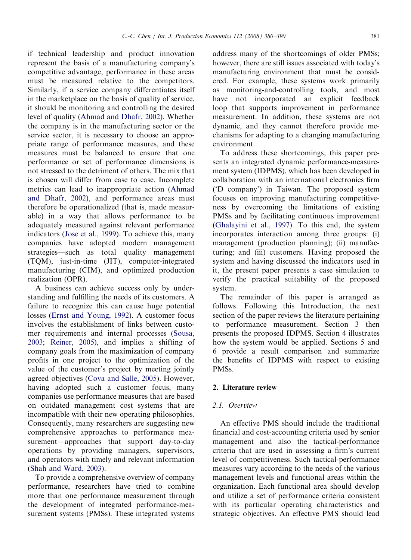if technical leadership and product innovation represent the basis of a manufacturing company's competitive advantage, performance in these areas must be measured relative to the competitors. Similarly, if a service company differentiates itself in the marketplace on the basis of quality of service, it should be monitoring and controlling the desired level of quality ([Ahmad and Dhafr, 2002](#page--1-0)). Whether the company is in the manufacturing sector or the service sector, it is necessary to choose an appropriate range of performance measures, and these measures must be balanced to ensure that one performance or set of performance dimensions is not stressed to the detriment of others. The mix that is chosen will differ from case to case. Incomplete metrics can lead to inappropriate action [\(Ahmad](#page--1-0) [and Dhafr, 2002](#page--1-0)), and performance areas must therefore be operationalized (that is, made measurable) in a way that allows performance to be adequately measured against relevant performance indicators ([Jose et al., 1999](#page--1-0)). To achieve this, many companies have adopted modern management strategies—such as total quality management (TQM), just-in-time (JIT), computer-integrated manufacturing (CIM), and optimized production realization (OPR).

A business can achieve success only by understanding and fulfilling the needs of its customers. A failure to recognize this can cause huge potential losses [\(Ernst and Young, 1992](#page--1-0)). A customer focus involves the establishment of links between customer requirements and internal processes ([Sousa,](#page--1-0) [2003;](#page--1-0) [Reiner, 2005\)](#page--1-0), and implies a shifting of company goals from the maximization of company profits in one project to the optimization of the value of the customer's project by meeting jointly agreed objectives [\(Cova and Salle, 2005\)](#page--1-0). However, having adopted such a customer focus, many companies use performance measures that are based on outdated management cost systems that are incompatible with their new operating philosophies. Consequently, many researchers are suggesting new comprehensive approaches to performance measurement—approaches that support day-to-day operations by providing managers, supervisors, and operators with timely and relevant information [\(Shah and Ward, 2003\)](#page--1-0).

To provide a comprehensive overview of company performance, researchers have tried to combine more than one performance measurement through the development of integrated performance-measurement systems (PMSs). These integrated systems

address many of the shortcomings of older PMSs; however, there are still issues associated with today's manufacturing environment that must be considered. For example, these systems work primarily as monitoring-and-controlling tools, and most have not incorporated an explicit feedback loop that supports improvement in performance measurement. In addition, these systems are not dynamic, and they cannot therefore provide mechanisms for adapting to a changing manufacturing environment.

To address these shortcomings, this paper presents an integrated dynamic performance-measurement system (IDPMS), which has been developed in collaboration with an international electronics firm ('D company') in Taiwan. The proposed system focuses on improving manufacturing competitiveness by overcoming the limitations of existing PMSs and by facilitating continuous improvement [\(Ghalayini et al., 1997\)](#page--1-0). To this end, the system incorporates interaction among three groups: (i) management (production planning); (ii) manufacturing; and (iii) customers. Having proposed the system and having discussed the indicators used in it, the present paper presents a case simulation to verify the practical suitability of the proposed system.

The remainder of this paper is arranged as follows. Following this Introduction, the next section of the paper reviews the literature pertaining to performance measurement. Section 3 then presents the proposed IDPMS. Section 4 illustrates how the system would be applied. Sections 5 and 6 provide a result comparison and summarize the benefits of IDPMS with respect to existing PMSs.

### 2. Literature review

#### 2.1. Overview

An effective PMS should include the traditional financial and cost-accounting criteria used by senior management and also the tactical-performance criteria that are used in assessing a firm's current level of competitiveness. Such tactical-performance measures vary according to the needs of the various management levels and functional areas within the organization. Each functional area should develop and utilize a set of performance criteria consistent with its particular operating characteristics and strategic objectives. An effective PMS should lead